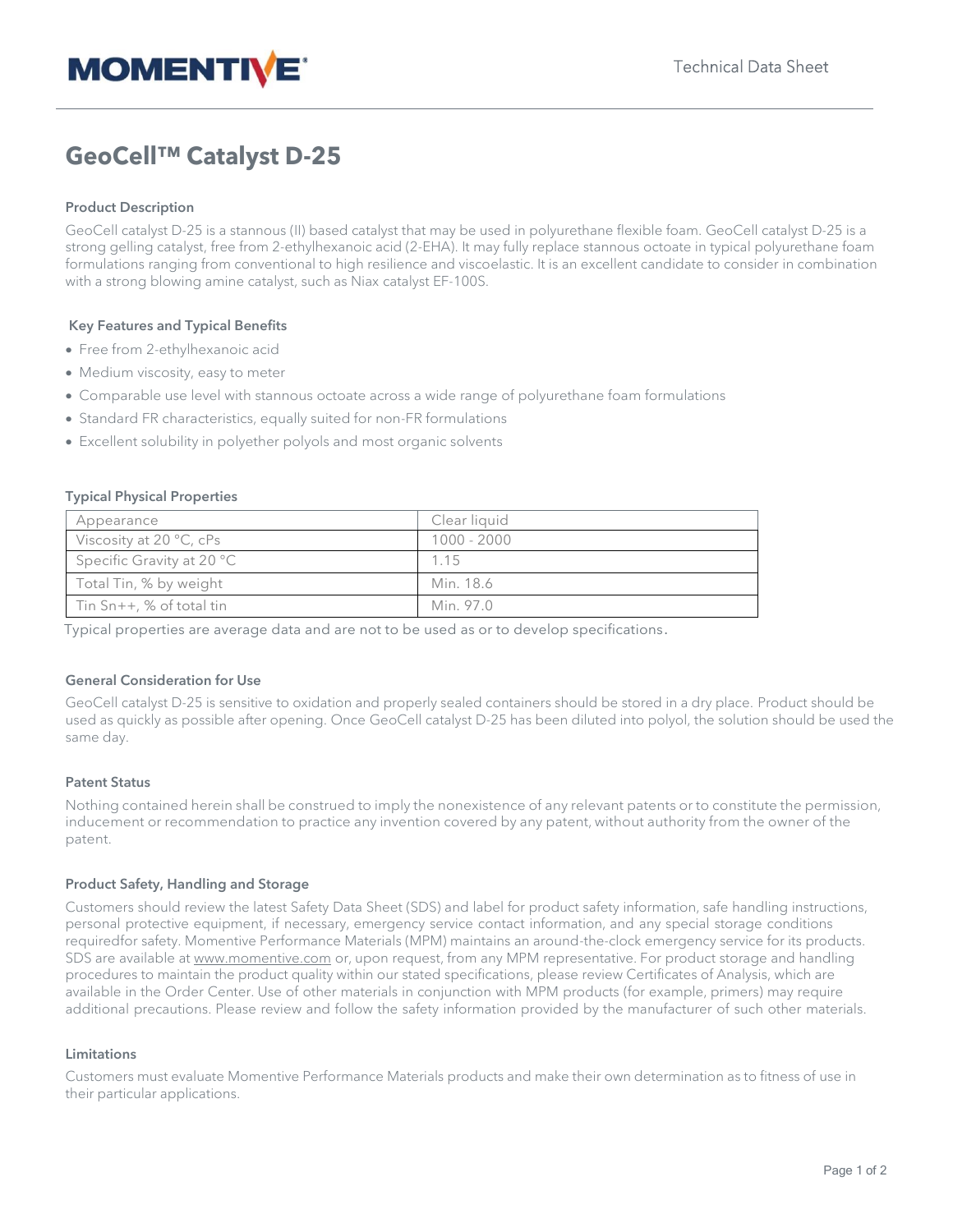

# **GeoCell™ Catalyst D-25**

## **Product Description**

GeoCell catalyst D-25 is a stannous (II) based catalyst that may be used in polyurethane flexible foam. GeoCell catalyst D-25 is a strong gelling catalyst, free from 2-ethylhexanoic acid (2-EHA). It may fully replace stannous octoate in typical polyurethane foam formulations ranging from conventional to high resilience and viscoelastic. It is an excellent candidate to consider in combination with a strong blowing amine catalyst, such as Niax catalyst EF-100S.

### **Key Features and Typical Benefits**

- Free from 2-ethylhexanoic acid
- Medium viscosity, easy to meter
- Comparable use level with stannous octoate across a wide range of polyurethane foam formulations
- Standard FR characteristics, equally suited for non-FR formulations
- Excellent solubility in polyether polyols and most organic solvents

#### **Typical Physical Properties**

| Appearance                       | Clear liquid  |
|----------------------------------|---------------|
| Viscosity at $20^{\circ}$ C, cPs | $1000 - 2000$ |
| Specific Gravity at 20 °C        | 1.15          |
| Total Tin, % by weight           | Min. 18.6     |
| Tin Sn++, % of total tin         | Min. 97.0     |

Typical properties are average data and are not to be used as or to develop specifications.

### **General Consideration for Use**

GeoCell catalyst D-25 is sensitive to oxidation and properly sealed containers should be stored in a dry place. Product should be used as quickly as possible after opening. Once GeoCell catalyst D-25 has been diluted into polyol, the solution should be used the same day.

#### **Patent Status**

Nothing contained herein shall be construed to imply the nonexistence of any relevant patents or to constitute the permission, inducement or recommendation to practice any invention covered by any patent, without authority from the owner of the patent.

#### **Product Safety, Handling and Storage**

Customers should review the latest Safety Data Sheet (SDS) and label for product safety information, safe handling instructions, personal protective equipment, if necessary, emergency service contact information, and any special storage conditions requiredfor safety. Momentive Performance Materials (MPM) maintains an around-the-clock emergency service for its products. SDS are available at [www.momentive.com](http://www.momentive.com/) or, upon request, from any MPM representative. For product storage and handling procedures to maintain the product quality within our stated specifications, please review Certificates of Analysis, which are available in the Order Center. Use of other materials in conjunction with MPM products (for example, primers) may require additional precautions. Please review and follow the safety information provided by the manufacturer of such other materials.

#### **Limitations**

Customers must evaluate Momentive Performance Materials products and make their own determination as to fitness of use in their particular applications.